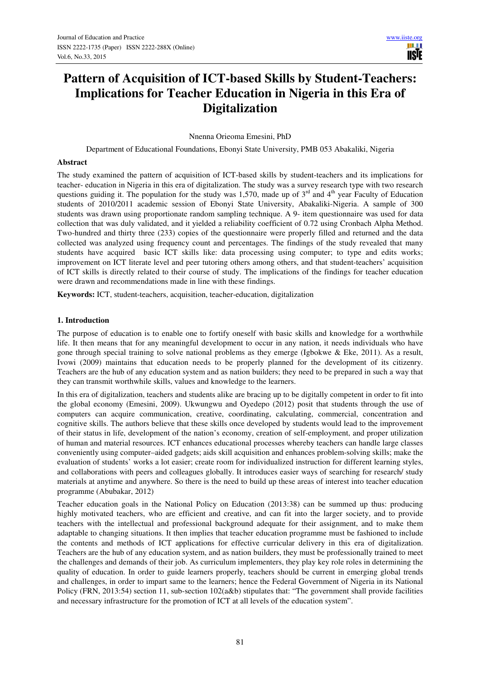# **Pattern of Acquisition of ICT-based Skills by Student-Teachers: Implications for Teacher Education in Nigeria in this Era of Digitalization**

Nnenna Orieoma Emesini, PhD

Department of Educational Foundations, Ebonyi State University, PMB 053 Abakaliki, Nigeria

### **Abstract**

The study examined the pattern of acquisition of ICT-based skills by student-teachers and its implications for teacher- education in Nigeria in this era of digitalization. The study was a survey research type with two research questions guiding it. The population for the study was 1,570, made up of  $3<sup>rd</sup>$  and  $4<sup>th</sup>$  year Faculty of Education students of 2010/2011 academic session of Ebonyi State University, Abakaliki-Nigeria. A sample of 300 students was drawn using proportionate random sampling technique. A 9- item questionnaire was used for data collection that was duly validated, and it yielded a reliability coefficient of 0.72 using Cronbach Alpha Method. Two-hundred and thirty three (233) copies of the questionnaire were properly filled and returned and the data collected was analyzed using frequency count and percentages. The findings of the study revealed that many students have acquired basic ICT skills like: data processing using computer; to type and edits works; improvement on ICT literate level and peer tutoring others among others, and that student-teachers' acquisition of ICT skills is directly related to their course of study. The implications of the findings for teacher education were drawn and recommendations made in line with these findings.

**Keywords:** ICT, student-teachers, acquisition, teacher-education, digitalization

### **1. Introduction**

The purpose of education is to enable one to fortify oneself with basic skills and knowledge for a worthwhile life. It then means that for any meaningful development to occur in any nation, it needs individuals who have gone through special training to solve national problems as they emerge (Igbokwe & Eke, 2011). As a result, Ivowi (2009) maintains that education needs to be properly planned for the development of its citizenry. Teachers are the hub of any education system and as nation builders; they need to be prepared in such a way that they can transmit worthwhile skills, values and knowledge to the learners.

In this era of digitalization, teachers and students alike are bracing up to be digitally competent in order to fit into the global economy (Emesini, 2009). Ukwungwu and Oyedepo (2012) posit that students through the use of computers can acquire communication, creative, coordinating, calculating, commercial, concentration and cognitive skills. The authors believe that these skills once developed by students would lead to the improvement of their status in life, development of the nation's economy, creation of self-employment, and proper utilization of human and material resources. ICT enhances educational processes whereby teachers can handle large classes conveniently using computer–aided gadgets; aids skill acquisition and enhances problem-solving skills; make the evaluation of students' works a lot easier; create room for individualized instruction for different learning styles, and collaborations with peers and colleagues globally. It introduces easier ways of searching for research/ study materials at anytime and anywhere. So there is the need to build up these areas of interest into teacher education programme (Abubakar, 2012)

Teacher education goals in the National Policy on Education (2013:38) can be summed up thus: producing highly motivated teachers, who are efficient and creative, and can fit into the larger society, and to provide teachers with the intellectual and professional background adequate for their assignment, and to make them adaptable to changing situations. It then implies that teacher education programme must be fashioned to include the contents and methods of ICT applications for effective curricular delivery in this era of digitalization. Teachers are the hub of any education system, and as nation builders, they must be professionally trained to meet the challenges and demands of their job. As curriculum implementers, they play key role roles in determining the quality of education. In order to guide learners properly, teachers should be current in emerging global trends and challenges, in order to impart same to the learners; hence the Federal Government of Nigeria in its National Policy (FRN, 2013:54) section 11, sub-section 102(a&b) stipulates that: "The government shall provide facilities and necessary infrastructure for the promotion of ICT at all levels of the education system".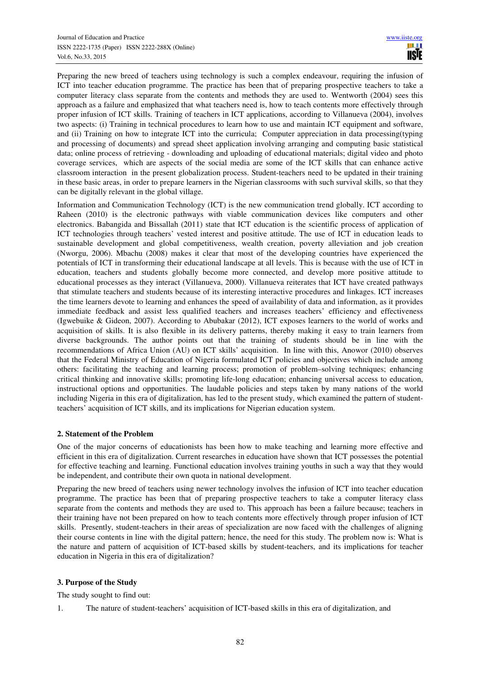Preparing the new breed of teachers using technology is such a complex endeavour, requiring the infusion of ICT into teacher education programme. The practice has been that of preparing prospective teachers to take a computer literacy class separate from the contents and methods they are used to. Wentworth (2004) sees this approach as a failure and emphasized that what teachers need is, how to teach contents more effectively through proper infusion of ICT skills. Training of teachers in ICT applications, according to Villanueva (2004), involves two aspects: (i) Training in technical procedures to learn how to use and maintain ICT equipment and software, and (ii) Training on how to integrate ICT into the curricula; Computer appreciation in data processing(typing and processing of documents) and spread sheet application involving arranging and computing basic statistical data; online process of retrieving - downloading and uploading of educational materials; digital video and photo coverage services, which are aspects of the social media are some of the ICT skills that can enhance active classroom interaction in the present globalization process. Student-teachers need to be updated in their training in these basic areas, in order to prepare learners in the Nigerian classrooms with such survival skills, so that they can be digitally relevant in the global village.

Information and Communication Technology (ICT) is the new communication trend globally. ICT according to Raheen (2010) is the electronic pathways with viable communication devices like computers and other electronics. Babangida and Bissallah (2011) state that ICT education is the scientific process of application of ICT technologies through teachers' vested interest and positive attitude. The use of ICT in education leads to sustainable development and global competitiveness, wealth creation, poverty alleviation and job creation (Nworgu, 2006). Mbachu (2008) makes it clear that most of the developing countries have experienced the potentials of ICT in transforming their educational landscape at all levels. This is because with the use of ICT in education, teachers and students globally become more connected, and develop more positive attitude to educational processes as they interact (Villanueva, 2000). Villanueva reiterates that ICT have created pathways that stimulate teachers and students because of its interesting interactive procedures and linkages. ICT increases the time learners devote to learning and enhances the speed of availability of data and information, as it provides immediate feedback and assist less qualified teachers and increases teachers' efficiency and effectiveness (Igwebuike & Gideon, 2007). According to Abubakar (2012), ICT exposes learners to the world of works and acquisition of skills. It is also flexible in its delivery patterns, thereby making it easy to train learners from diverse backgrounds. The author points out that the training of students should be in line with the recommendations of Africa Union (AU) on ICT skills' acquisition. In line with this, Anowor (2010) observes that the Federal Ministry of Education of Nigeria formulated ICT policies and objectives which include among others: facilitating the teaching and learning process; promotion of problem–solving techniques; enhancing critical thinking and innovative skills; promoting life-long education; enhancing universal access to education, instructional options and opportunities. The laudable policies and steps taken by many nations of the world including Nigeria in this era of digitalization, has led to the present study, which examined the pattern of studentteachers' acquisition of ICT skills, and its implications for Nigerian education system.

## **2. Statement of the Problem**

One of the major concerns of educationists has been how to make teaching and learning more effective and efficient in this era of digitalization. Current researches in education have shown that ICT possesses the potential for effective teaching and learning. Functional education involves training youths in such a way that they would be independent, and contribute their own quota in national development.

Preparing the new breed of teachers using newer technology involves the infusion of ICT into teacher education programme. The practice has been that of preparing prospective teachers to take a computer literacy class separate from the contents and methods they are used to. This approach has been a failure because; teachers in their training have not been prepared on how to teach contents more effectively through proper infusion of ICT skills. Presently, student-teachers in their areas of specialization are now faced with the challenges of aligning their course contents in line with the digital pattern; hence, the need for this study. The problem now is: What is the nature and pattern of acquisition of ICT-based skills by student-teachers, and its implications for teacher education in Nigeria in this era of digitalization?

# **3. Purpose of the Study**

The study sought to find out:

1. The nature of student-teachers' acquisition of ICT-based skills in this era of digitalization, and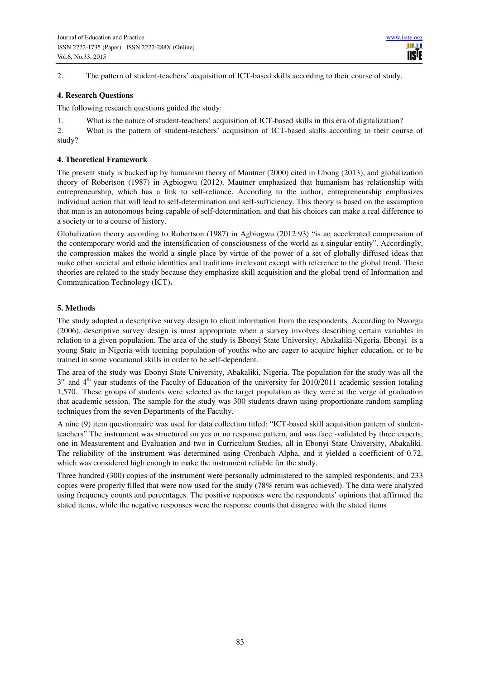2. The pattern of student-teachers' acquisition of ICT-based skills according to their course of study.

### **4. Research Questions**

The following research questions guided the study:

1. What is the nature of student-teachers' acquisition of ICT-based skills in this era of digitalization?

2. What is the pattern of student-teachers' acquisition of ICT-based skills according to their course of study?

## **4. Theoretical Framework**

The present study is backed up by humanism theory of Mautner (2000) cited in Ubong (2013), and globalization theory of Robertson (1987) in Agbiogwu (2012). Mautner emphasized that humanism has relationship with entrepreneurship, which has a link to self-reliance. According to the author, entrepreneurship emphasizes individual action that will lead to self-determination and self-sufficiency. This theory is based on the assumption that man is an autonomous being capable of self-determination, and that his choices can make a real difference to a society or to a course of history.

Globalization theory according to Robertson (1987) in Agbiogwu (2012:93) "is an accelerated compression of the contemporary world and the intensification of consciousness of the world as a singular entity". Accordingly, the compression makes the world a single place by virtue of the power of a set of globally diffused ideas that make other societal and ethnic identities and traditions irrelevant except with reference to the global trend. These theories are related to the study because they emphasize skill acquisition and the global trend of Information and Communication Technology (ICT**).** 

# **5. Methods**

The study adopted a descriptive survey design to elicit information from the respondents. According to Nworgu (2006), descriptive survey design is most appropriate when a survey involves describing certain variables in relation to a given population. The area of the study is Ebonyi State University, Abakaliki-Nigeria. Ebonyi is a young State in Nigeria with teeming population of youths who are eager to acquire higher education, or to be trained in some vocational skills in order to be self-dependent.

The area of the study was Ebonyi State University, Abakaliki, Nigeria. The population for the study was all the  $3<sup>rd</sup>$  and  $4<sup>th</sup>$  year students of the Faculty of Education of the university for 2010/2011 academic session totaling 1,570. These groups of students were selected as the target population as they were at the verge of graduation that academic session. The sample for the study was 300 students drawn using proportionate random sampling techniques from the seven Departments of the Faculty.

A nine (9) item questionnaire was used for data collection titled: "ICT-based skill acquisition pattern of studentteachers" The instrument was structured on yes or no response pattern, and was face -validated by three experts; one in Measurement and Evaluation and two in Curriculum Studies, all in Ebonyi State University, Abakaliki. The reliability of the instrument was determined using Cronbach Alpha, and it yielded a coefficient of 0.72, which was considered high enough to make the instrument reliable for the study.

Three hundred (300) copies of the instrument were personally administered to the sampled respondents, and 233 copies were properly filled that were now used for the study (78% return was achieved). The data were analyzed using frequency counts and percentages. The positive responses were the respondents' opinions that affirmed the stated items, while the negative responses were the response counts that disagree with the stated items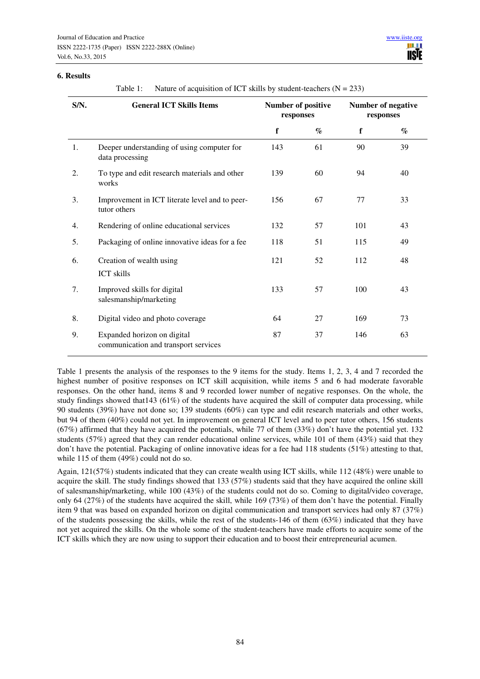#### **6. Results**

Table 1: Nature of acquisition of ICT skills by student-teachers  $(N = 233)$ 

| S/N. | <b>General ICT Skills Items</b>                                     | <b>Number of positive</b><br>responses |                             | <b>Number of negative</b><br>responses |                             |  |
|------|---------------------------------------------------------------------|----------------------------------------|-----------------------------|----------------------------------------|-----------------------------|--|
|      |                                                                     | f                                      | $\mathcal{G}_{\mathcal{O}}$ | $\mathbf f$                            | $\mathcal{G}_{\mathcal{O}}$ |  |
| 1.   | Deeper understanding of using computer for<br>data processing       | 143                                    | 61                          | 90                                     | 39                          |  |
| 2.   | To type and edit research materials and other<br>works              | 139                                    | 60                          | 94                                     | 40                          |  |
| 3.   | Improvement in ICT literate level and to peer-<br>tutor others      | 156                                    | 67                          | 77                                     | 33                          |  |
| 4.   | Rendering of online educational services                            | 132                                    | 57                          | 101                                    | 43                          |  |
| 5.   | Packaging of online innovative ideas for a fee                      | 118                                    | 51                          | 115                                    | 49                          |  |
| 6.   | Creation of wealth using<br><b>ICT</b> skills                       | 121                                    | 52                          | 112                                    | 48                          |  |
| 7.   | Improved skills for digital<br>salesmanship/marketing               | 133                                    | 57                          | 100                                    | 43                          |  |
| 8.   | Digital video and photo coverage                                    | 64                                     | 27                          | 169                                    | 73                          |  |
| 9.   | Expanded horizon on digital<br>communication and transport services | 87                                     | 37                          | 146                                    | 63                          |  |

Table 1 presents the analysis of the responses to the 9 items for the study. Items 1, 2, 3, 4 and 7 recorded the highest number of positive responses on ICT skill acquisition, while items 5 and 6 had moderate favorable responses. On the other hand, items 8 and 9 recorded lower number of negative responses. On the whole, the study findings showed that143 (61%) of the students have acquired the skill of computer data processing, while 90 students (39%) have not done so; 139 students (60%) can type and edit research materials and other works, but 94 of them (40%) could not yet. In improvement on general ICT level and to peer tutor others, 156 students (67%) affirmed that they have acquired the potentials, while 77 of them (33%) don't have the potential yet. 132 students (57%) agreed that they can render educational online services, while 101 of them (43%) said that they don't have the potential. Packaging of online innovative ideas for a fee had 118 students (51%) attesting to that, while 115 of them (49%) could not do so.

Again, 121(57%) students indicated that they can create wealth using ICT skills, while 112 (48%) were unable to acquire the skill. The study findings showed that 133 (57%) students said that they have acquired the online skill of salesmanship/marketing, while 100 (43%) of the students could not do so. Coming to digital/video coverage, only 64 (27%) of the students have acquired the skill, while 169 (73%) of them don't have the potential. Finally item 9 that was based on expanded horizon on digital communication and transport services had only 87 (37%) of the students possessing the skills, while the rest of the students-146 of them (63%) indicated that they have not yet acquired the skills. On the whole some of the student-teachers have made efforts to acquire some of the ICT skills which they are now using to support their education and to boost their entrepreneurial acumen.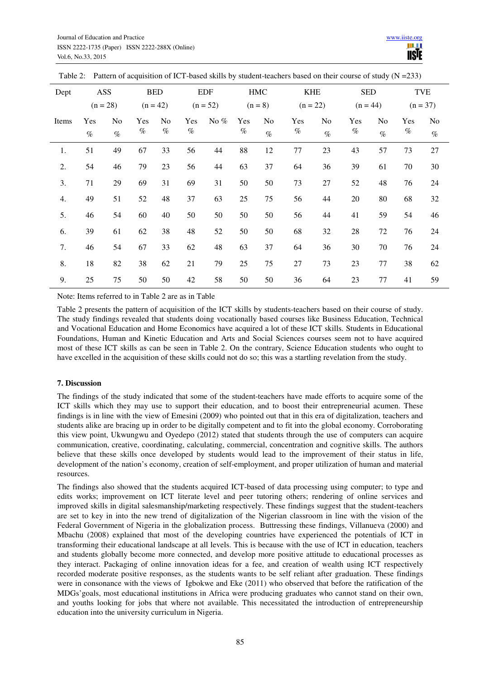| Dept  | ASS                      |                |      | <b>BED</b>              |      | <b>EDF</b> | <b>HMC</b> |                | <b>KHE</b> |            | <b>SED</b> |                | <b>TVE</b> |      |
|-------|--------------------------|----------------|------|-------------------------|------|------------|------------|----------------|------------|------------|------------|----------------|------------|------|
|       | $(n = 28)$<br>$(n = 42)$ |                |      | $(n = 52)$<br>$(n = 8)$ |      | $(n = 22)$ |            | $(n = 44)$     |            | $(n = 37)$ |            |                |            |      |
| Items | Yes                      | N <sub>o</sub> | Yes  | N <sub>0</sub>          | Yes  | No $%$     | Yes        | N <sub>o</sub> | Yes        | No         | Yes        | N <sub>o</sub> | Yes        | No   |
|       | $\%$                     | $\%$           | $\%$ | $\%$                    | $\%$ |            | $\%$       | $\%$           | $\%$       | $\%$       | $\%$       | $\%$           | $\%$       | $\%$ |
| 1.    | 51                       | 49             | 67   | 33                      | 56   | 44         | 88         | 12             | 77         | 23         | 43         | 57             | 73         | 27   |
| 2.    | 54                       | 46             | 79   | 23                      | 56   | 44         | 63         | 37             | 64         | 36         | 39         | 61             | 70         | 30   |
| 3.    | 71                       | 29             | 69   | 31                      | 69   | 31         | 50         | 50             | 73         | $27\,$     | 52         | 48             | 76         | 24   |
| 4.    | 49                       | 51             | 52   | 48                      | 37   | 63         | 25         | 75             | 56         | 44         | 20         | 80             | 68         | 32   |
| 5.    | 46                       | 54             | 60   | 40                      | 50   | 50         | 50         | 50             | 56         | 44         | 41         | 59             | 54         | 46   |
| 6.    | 39                       | 61             | 62   | 38                      | 48   | 52         | 50         | 50             | 68         | 32         | 28         | 72             | 76         | 24   |
| 7.    | 46                       | 54             | 67   | 33                      | 62   | 48         | 63         | 37             | 64         | 36         | 30         | 70             | 76         | 24   |
| 8.    | 18                       | 82             | 38   | 62                      | 21   | 79         | 25         | 75             | 27         | 73         | 23         | 77             | 38         | 62   |
| 9.    | 25                       | 75             | 50   | 50                      | 42   | 58         | 50         | 50             | 36         | 64         | 23         | 77             | 41         | 59   |

Table 2: Pattern of acquisition of ICT-based skills by student-teachers based on their course of study  $(N = 233)$ 

Note: Items referred to in Table 2 are as in Table

Table 2 presents the pattern of acquisition of the ICT skills by students-teachers based on their course of study. The study findings revealed that students doing vocationally based courses like Business Education, Technical and Vocational Education and Home Economics have acquired a lot of these ICT skills. Students in Educational Foundations, Human and Kinetic Education and Arts and Social Sciences courses seem not to have acquired most of these ICT skills as can be seen in Table 2. On the contrary, Science Education students who ought to have excelled in the acquisition of these skills could not do so; this was a startling revelation from the study.

## **7. Discussion**

The findings of the study indicated that some of the student-teachers have made efforts to acquire some of the ICT skills which they may use to support their education, and to boost their entrepreneurial acumen. These findings is in line with the view of Emesini (2009) who pointed out that in this era of digitalization, teachers and students alike are bracing up in order to be digitally competent and to fit into the global economy. Corroborating this view point, Ukwungwu and Oyedepo (2012) stated that students through the use of computers can acquire communication, creative, coordinating, calculating, commercial, concentration and cognitive skills. The authors believe that these skills once developed by students would lead to the improvement of their status in life, development of the nation's economy, creation of self-employment, and proper utilization of human and material resources.

The findings also showed that the students acquired ICT-based of data processing using computer; to type and edits works; improvement on ICT literate level and peer tutoring others; rendering of online services and improved skills in digital salesmanship/marketing respectively. These findings suggest that the student-teachers are set to key in into the new trend of digitalization of the Nigerian classroom in line with the vision of the Federal Government of Nigeria in the globalization process. Buttressing these findings, Villanueva (2000) and Mbachu (2008) explained that most of the developing countries have experienced the potentials of ICT in transforming their educational landscape at all levels. This is because with the use of ICT in education, teachers and students globally become more connected, and develop more positive attitude to educational processes as they interact. Packaging of online innovation ideas for a fee, and creation of wealth using ICT respectively recorded moderate positive responses, as the students wants to be self reliant after graduation. These findings were in consonance with the views of Igbokwe and Eke (2011) who observed that before the ratification of the MDGs'goals, most educational institutions in Africa were producing graduates who cannot stand on their own, and youths looking for jobs that where not available. This necessitated the introduction of entrepreneurship education into the university curriculum in Nigeria.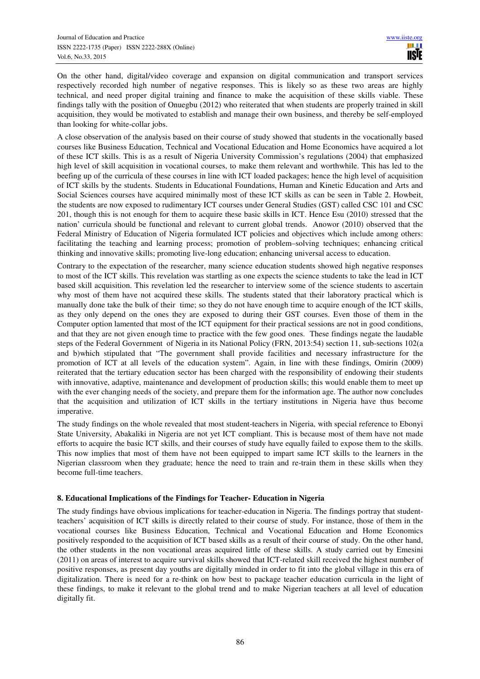On the other hand, digital/video coverage and expansion on digital communication and transport services respectively recorded high number of negative responses. This is likely so as these two areas are highly technical, and need proper digital training and finance to make the acquisition of these skills viable. These findings tally with the position of Onuegbu (2012) who reiterated that when students are properly trained in skill acquisition, they would be motivated to establish and manage their own business, and thereby be self-employed than looking for white-collar jobs.

A close observation of the analysis based on their course of study showed that students in the vocationally based courses like Business Education, Technical and Vocational Education and Home Economics have acquired a lot of these ICT skills. This is as a result of Nigeria University Commission's regulations (2004) that emphasized high level of skill acquisition in vocational courses, to make them relevant and worthwhile. This has led to the beefing up of the curricula of these courses in line with ICT loaded packages; hence the high level of acquisition of ICT skills by the students. Students in Educational Foundations, Human and Kinetic Education and Arts and Social Sciences courses have acquired minimally most of these ICT skills as can be seen in Table 2. Howbeit, the students are now exposed to rudimentary ICT courses under General Studies (GST) called CSC 101 and CSC 201, though this is not enough for them to acquire these basic skills in ICT. Hence Esu (2010) stressed that the nation' curricula should be functional and relevant to current global trends. Anowor (2010) observed that the Federal Ministry of Education of Nigeria formulated ICT policies and objectives which include among others: facilitating the teaching and learning process; promotion of problem–solving techniques; enhancing critical thinking and innovative skills; promoting live-long education; enhancing universal access to education.

Contrary to the expectation of the researcher, many science education students showed high negative responses to most of the ICT skills. This revelation was startling as one expects the science students to take the lead in ICT based skill acquisition. This revelation led the researcher to interview some of the science students to ascertain why most of them have not acquired these skills. The students stated that their laboratory practical which is manually done take the bulk of their time; so they do not have enough time to acquire enough of the ICT skills, as they only depend on the ones they are exposed to during their GST courses. Even those of them in the Computer option lamented that most of the ICT equipment for their practical sessions are not in good conditions, and that they are not given enough time to practice with the few good ones. These findings negate the laudable steps of the Federal Government of Nigeria in its National Policy (FRN, 2013:54) section 11, sub-sections 102(a and b)which stipulated that "The government shall provide facilities and necessary infrastructure for the promotion of ICT at all levels of the education system". Again, in line with these findings, Omirin (2009) reiterated that the tertiary education sector has been charged with the responsibility of endowing their students with innovative, adaptive, maintenance and development of production skills; this would enable them to meet up with the ever changing needs of the society, and prepare them for the information age. The author now concludes that the acquisition and utilization of ICT skills in the tertiary institutions in Nigeria have thus become imperative.

The study findings on the whole revealed that most student-teachers in Nigeria, with special reference to Ebonyi State University, Abakaliki in Nigeria are not yet ICT compliant. This is because most of them have not made efforts to acquire the basic ICT skills, and their courses of study have equally failed to expose them to the skills. This now implies that most of them have not been equipped to impart same ICT skills to the learners in the Nigerian classroom when they graduate; hence the need to train and re-train them in these skills when they become full-time teachers.

# **8. Educational Implications of the Findings for Teacher- Education in Nigeria**

The study findings have obvious implications for teacher-education in Nigeria. The findings portray that studentteachers' acquisition of ICT skills is directly related to their course of study. For instance, those of them in the vocational courses like Business Education, Technical and Vocational Education and Home Economics positively responded to the acquisition of ICT based skills as a result of their course of study. On the other hand, the other students in the non vocational areas acquired little of these skills. A study carried out by Emesini (2011) on areas of interest to acquire survival skills showed that ICT-related skill received the highest number of positive responses, as present day youths are digitally minded in order to fit into the global village in this era of digitalization. There is need for a re-think on how best to package teacher education curricula in the light of these findings, to make it relevant to the global trend and to make Nigerian teachers at all level of education digitally fit.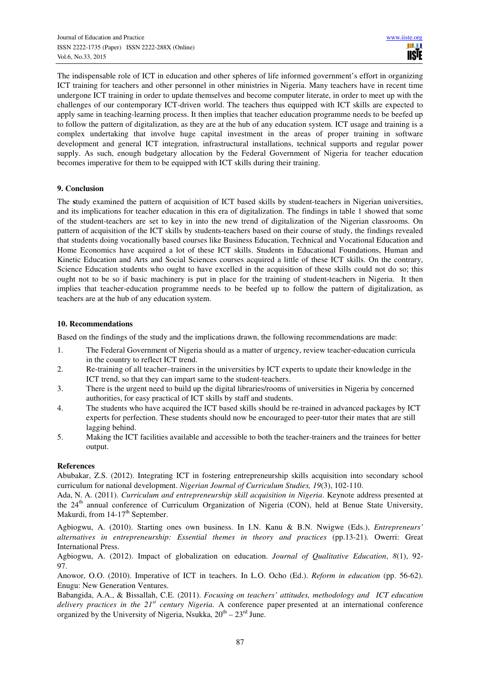The indispensable role of ICT in education and other spheres of life informed government's effort in organizing ICT training for teachers and other personnel in other ministries in Nigeria. Many teachers have in recent time undergone ICT training in order to update themselves and become computer literate, in order to meet up with the challenges of our contemporary ICT-driven world. The teachers thus equipped with ICT skills are expected to apply same in teaching-learning process. It then implies that teacher education programme needs to be beefed up to follow the pattern of digitalization, as they are at the hub of any education system. ICT usage and training is a complex undertaking that involve huge capital investment in the areas of proper training in software development and general ICT integration, infrastructural installations, technical supports and regular power supply. As such, enough budgetary allocation by the Federal Government of Nigeria for teacher education becomes imperative for them to be equipped with ICT skills during their training.

## **9. Conclusion**

The **s**tudy examined the pattern of acquisition of ICT based skills by student-teachers in Nigerian universities, and its implications for teacher education in this era of digitalization. The findings in table 1 showed that some of the student-teachers are set to key in into the new trend of digitalization of the Nigerian classrooms. On pattern of acquisition of the ICT skills by students-teachers based on their course of study, the findings revealed that students doing vocationally based courses like Business Education, Technical and Vocational Education and Home Economics have acquired a lot of these ICT skills. Students in Educational Foundations, Human and Kinetic Education and Arts and Social Sciences courses acquired a little of these ICT skills. On the contrary, Science Education students who ought to have excelled in the acquisition of these skills could not do so; this ought not to be so if basic machinery is put in place for the training of student-teachers in Nigeria. It then implies that teacher-education programme needs to be beefed up to follow the pattern of digitalization, as teachers are at the hub of any education system.

# **10. Recommendations**

Based on the findings of the study and the implications drawn, the following recommendations are made:

- 1. The Federal Government of Nigeria should as a matter of urgency, review teacher-education curricula in the country to reflect ICT trend.
- 2. Re-training of all teacher–trainers in the universities by ICT experts to update their knowledge in the ICT trend, so that they can impart same to the student-teachers.
- 3. There is the urgent need to build up the digital libraries/rooms of universities in Nigeria by concerned authorities, for easy practical of ICT skills by staff and students.
- 4. The students who have acquired the ICT based skills should be re-trained in advanced packages by ICT experts for perfection. These students should now be encouraged to peer-tutor their mates that are still lagging behind.
- 5. Making the ICT facilities available and accessible to both the teacher-trainers and the trainees for better output.

## **References**

Abubakar, Z.S. (2012). Integrating ICT in fostering entrepreneurship skills acquisition into secondary school curriculum for national development. *Nigerian Journal of Curriculum Studies, 19*(3), 102-110.

Ada, N. A. (2011). *Curriculum and entrepreneurship skill acquisition in Nigeria*. Keynote address presented at the  $24<sup>th</sup>$  annual conference of Curriculum Organization of Nigeria (CON), held at Benue State University, Makurdi, from  $14-17<sup>th</sup>$  September.

Agbiogwu, A. (2010). Starting ones own business. In I.N. Kanu & B.N. Nwigwe (Eds.), *Entrepreneurs' alternatives in entrepreneurship: Essential themes in theory and practices* (pp.13-21)*.* Owerri: Great International Press.

Agbiogwu, A. (2012). Impact of globalization on education. *Journal of Qualitative Education*, *8*(1), 92- 97.

Anowor, O.O. (2010). Imperative of ICT in teachers. In L.O. Ocho (Ed.). *Reform in education* (pp. 56-62). Enugu: New Generation Ventures.

Babangida, A.A., & Bissallah, C.E. (2011). *Focusing on teachers' attitudes, methodology and ICT education delivery practices in the 21st century Nigeria*. A conference paper presented at an international conference organized by the University of Nigeria, Nsukka,  $20^{th} - 23^{rd}$  June.